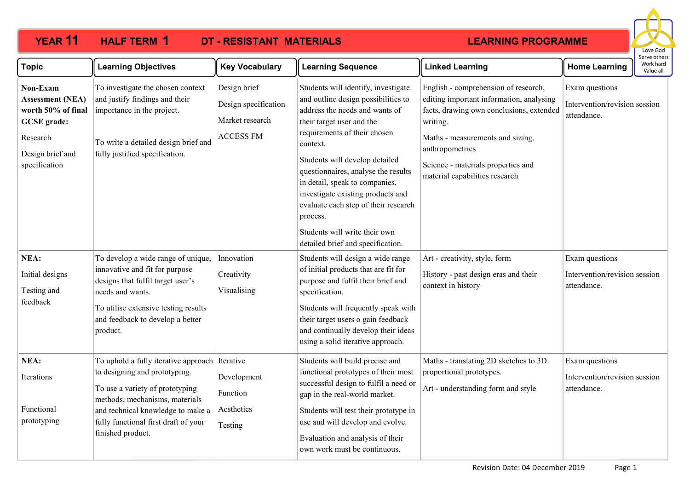| <b>YEAR 11</b>                                                                                                                   | <b>HALF TERM 1</b>                                                                                                                                                                                                                                     | <b>DT - RESISTANT MATERIALS</b>                                             |                                                                                                                                                                                                                                                                                                                                                                                                                            | <b>LEARNING PROGRAMME</b>                                                                                                                                                                                                                                               |                                                                | Love God                               |
|----------------------------------------------------------------------------------------------------------------------------------|--------------------------------------------------------------------------------------------------------------------------------------------------------------------------------------------------------------------------------------------------------|-----------------------------------------------------------------------------|----------------------------------------------------------------------------------------------------------------------------------------------------------------------------------------------------------------------------------------------------------------------------------------------------------------------------------------------------------------------------------------------------------------------------|-------------------------------------------------------------------------------------------------------------------------------------------------------------------------------------------------------------------------------------------------------------------------|----------------------------------------------------------------|----------------------------------------|
| <b>Topic</b>                                                                                                                     | <b>Learning Objectives</b>                                                                                                                                                                                                                             | <b>Key Vocabulary</b>                                                       | <b>Learning Sequence</b>                                                                                                                                                                                                                                                                                                                                                                                                   | <b>Linked Learning</b>                                                                                                                                                                                                                                                  | <b>Home Learning</b>                                           | Serve others<br>Work hard<br>Value all |
| Non-Exam<br><b>Assessment (NEA)</b><br>worth 50% of final<br><b>GCSE</b> grade:<br>Research<br>Design brief and<br>specification | To investigate the chosen context<br>and justify findings and their<br>importance in the project.<br>To write a detailed design brief and<br>fully justified specification.                                                                            | Design brief<br>Design specification<br>Market research<br><b>ACCESS FM</b> | Students will identify, investigate<br>and outline design possibilities to<br>address the needs and wants of<br>their target user and the<br>requirements of their chosen<br>context.<br>Students will develop detailed<br>questionnaires, analyse the results<br>in detail, speak to companies,<br>investigate existing products and<br>evaluate each step of their research<br>process.<br>Students will write their own | English - comprehension of research,<br>editing important information, analysing<br>facts, drawing own conclusions, extended<br>writing.<br>Maths - measurements and sizing,<br>anthropometrics<br>Science - materials properties and<br>material capabilities research | Exam questions<br>Intervention/revision session<br>attendance. |                                        |
| NEA:<br>Initial designs<br>Testing and<br>feedback                                                                               | To develop a wide range of unique,<br>innovative and fit for purpose<br>designs that fulfil target user's<br>needs and wants.<br>To utilise extensive testing results<br>and feedback to develop a better<br>product.                                  | Innovation<br>Creativity<br>Visualising                                     | detailed brief and specification.<br>Students will design a wide range<br>of initial products that are fit for<br>purpose and fulfil their brief and<br>specification.<br>Students will frequently speak with<br>their target users o gain feedback<br>and continually develop their ideas                                                                                                                                 | Art - creativity, style, form<br>History - past design eras and their<br>context in history                                                                                                                                                                             | Exam questions<br>Intervention/revision session<br>attendance. |                                        |
| NEA:<br>Iterations<br>Functional<br>prototyping                                                                                  | To uphold a fully iterative approach Iterative<br>to designing and prototyping.<br>To use a variety of prototyping<br>methods, mechanisms, materials<br>and technical knowledge to make a<br>fully functional first draft of your<br>finished product. | Development<br>Function<br>Aesthetics<br>Testing                            | using a solid iterative approach.<br>Students will build precise and<br>functional prototypes of their most<br>successful design to fulfil a need or<br>gap in the real-world market.<br>Students will test their prototype in<br>use and will develop and evolve.<br>Evaluation and analysis of their<br>own work must be continuous.                                                                                     | Maths - translating 2D sketches to 3D<br>proportional prototypes.<br>Art - understanding form and style                                                                                                                                                                 | Exam questions<br>Intervention/revision session<br>attendance. |                                        |